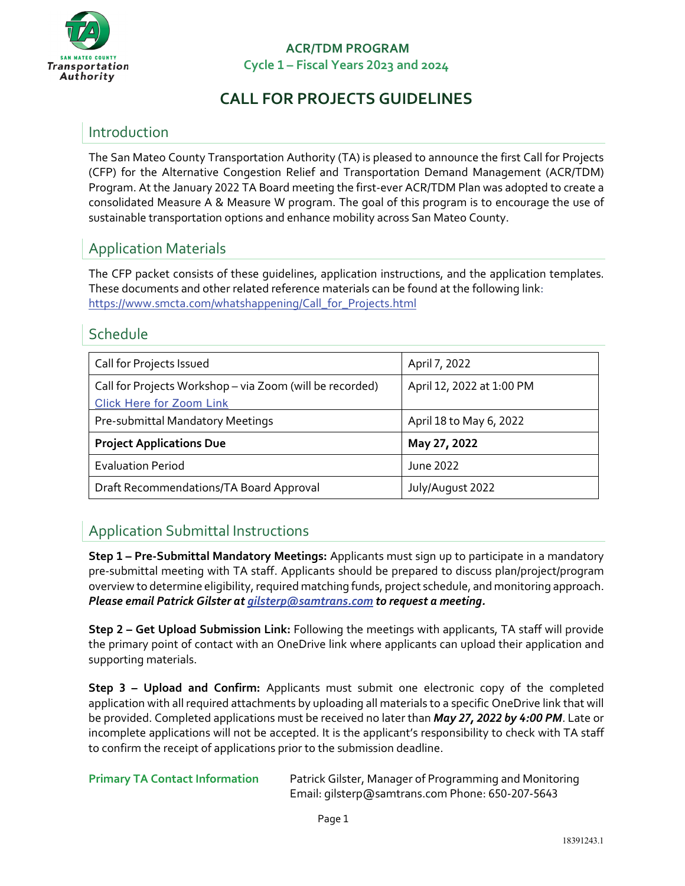

# **CALL FOR PROJECTS GUIDELINES**

# Introduction

The San Mateo County Transportation Authority (TA) is pleased to announce the first Call for Projects (CFP) for the Alternative Congestion Relief and Transportation Demand Management (ACR/TDM) Program. At the January 2022 TA Board meeting the first-ever ACR/TDM Plan was adopted to create a consolidated Measure A & Measure W program. The goal of this program is to encourage the use of sustainable transportation options and enhance mobility across San Mateo County.

# Application Materials

The CFP packet consists of these guidelines, application instructions, and the application templates. These documents and other related reference materials can be found at the following link: [https://www.smcta.com/whatshappening/Call\\_for\\_Projects.html](https://www.smcta.com/whatshappening/Call_for_Projects.html) 

### Schedule

| Call for Projects Issued                                 | April 7, 2022             |
|----------------------------------------------------------|---------------------------|
| Call for Projects Workshop - via Zoom (will be recorded) | April 12, 2022 at 1:00 PM |
| <b>Click Here for Zoom Link</b>                          |                           |
| Pre-submittal Mandatory Meetings                         | April 18 to May 6, 2022   |
| <b>Project Applications Due</b>                          | May 27, 2022              |
| <b>Evaluation Period</b>                                 | June 2022                 |
| Draft Recommendations/TA Board Approval                  | July/August 2022          |

# Application Submittal Instructions

**Step 1 – Pre-Submittal Mandatory Meetings:** Applicants must sign up to participate in a mandatory pre-submittal meeting with TA staff. Applicants should be prepared to discuss plan/project/program overview to determine eligibility, required matching funds, project schedule, and monitoring approach. *Please email Patrick Gilster a[t gilsterp@samtrans.com](mailto:gilsterp@samtrans.com) to request a meeting.*

**Step 2 – Get Upload Submission Link:** Following the meetings with applicants, TA staff will provide the primary point of contact with an OneDrive link where applicants can upload their application and supporting materials.

**Step 3 – Upload and Confirm:** Applicants must submit one electronic copy of the completed application with all required attachments by uploading all materials to a specific OneDrive link that will be provided. Completed applications must be received no later than *May 27, 2022 by 4:00 PM*. Late or incomplete applications will not be accepted. It is the applicant's responsibility to check with TA staff to confirm the receipt of applications prior to the submission deadline.

**Primary TA Contact Information** Patrick Gilster, Manager of Programming and Monitoring Email: [gilsterp@samtrans.com](mailto:gilsterp@samtrans.com) Phone: 650-207-5643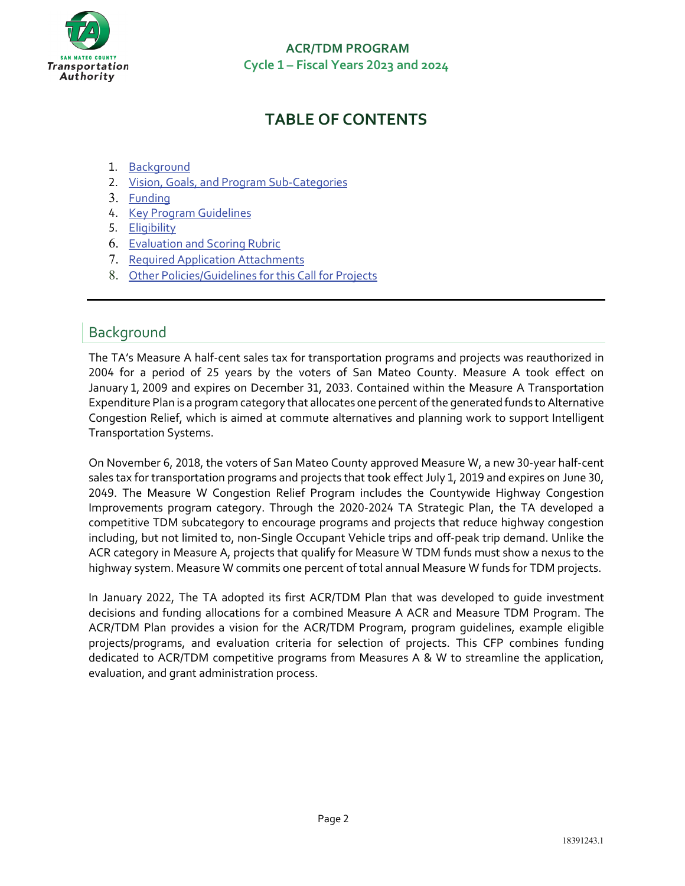

# **TABLE OF CONTENTS**

- 1. [Background](#page-1-0)
- 2. [Vision, Goals, and Program Sub-Categories](#page-2-0)
- 3. [Funding](#page-3-0)
- 4. [Key Program Guidelines](#page-4-0)
- 5. [Eligibility](#page-5-0)
- 6. [Evaluation and Scoring Rubric](#page-5-1)
- 7. [Required Application Attachments](#page-6-0)
- 8. [Other Policies/Guidelines for this Call for Projects](#page-6-0)

# <span id="page-1-0"></span>Background

The TA's Measure A half-cent sales tax for transportation programs and projects was reauthorized in 2004 for a period of 25 years by the voters of San Mateo County. Measure A took effect on January 1, 2009 and expires on December 31, 2033. Contained within the Measure A Transportation Expenditure Plan is a program category that allocates one percent of the generated funds to Alternative Congestion Relief, which is aimed at commute alternatives and planning work to support Intelligent Transportation Systems.

On November 6, 2018, the voters of San Mateo County approved Measure W, a new 30-year half-cent sales tax for transportation programs and projects that took effect July 1, 2019 and expires on June 30, 2049. The Measure W Congestion Relief Program includes the Countywide Highway Congestion Improvements program category. Through the 2020-2024 TA Strategic Plan, the TA developed a competitive TDM subcategory to encourage programs and projects that reduce highway congestion including, but not limited to, non-Single Occupant Vehicle trips and off-peak trip demand. Unlike the ACR category in Measure A, projects that qualify for Measure W TDM funds must show a nexus to the highway system. Measure W commits one percent of total annual Measure W funds for TDM projects.

In January 2022, The TA adopted its first ACR/TDM Plan that was developed to guide investment decisions and funding allocations for a combined Measure A ACR and Measure TDM Program. The ACR/TDM Plan provides a vision for the ACR/TDM Program, program guidelines, example eligible projects/programs, and evaluation criteria for selection of projects. This CFP combines funding dedicated to ACR/TDM competitive programs from Measures A & W to streamline the application, evaluation, and grant administration process.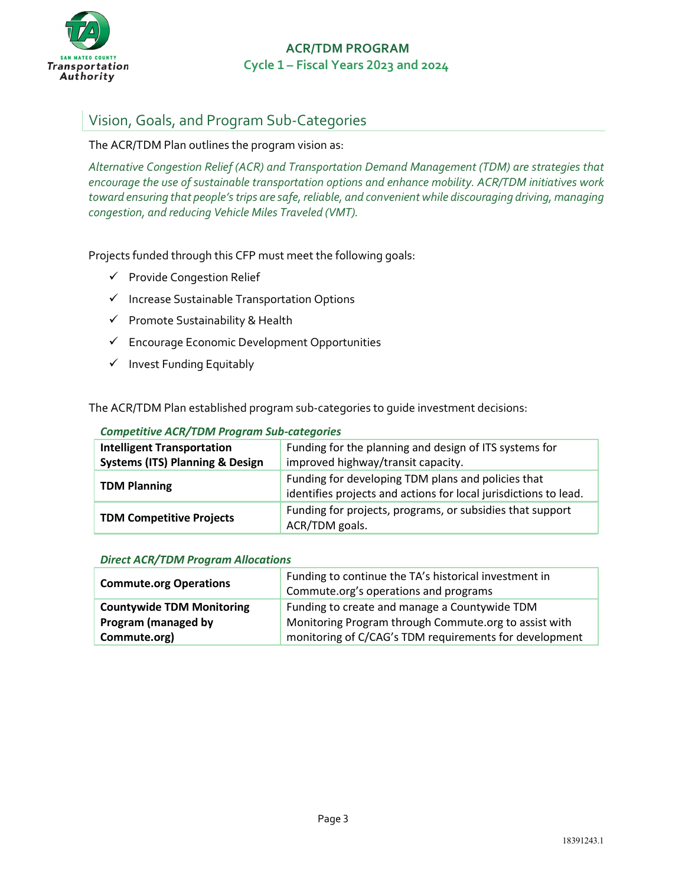

# <span id="page-2-0"></span>Vision, Goals, and Program Sub-Categories

#### The ACR/TDM Plan outlines the program vision as:

*Alternative Congestion Relief (ACR) and Transportation Demand Management (TDM) are strategies that encourage the use of sustainable transportation options and enhance mobility. ACR/TDM initiatives work toward ensuring that people's trips are safe, reliable, and convenient while discouraging driving, managing congestion, and reducing Vehicle Miles Traveled (VMT).* 

Projects funded through this CFP must meet the following goals:

- $\checkmark$  Provide Congestion Relief
- $\checkmark$  Increase Sustainable Transportation Options
- $\checkmark$  Promote Sustainability & Health
- $\checkmark$  Encourage Economic Development Opportunities
- $\checkmark$  Invest Funding Equitably

The ACR/TDM Plan established program sub-categories to guide investment decisions:

#### *Competitive ACR/TDM Program Sub-categories*

| <b>Intelligent Transportation</b>          | Funding for the planning and design of ITS systems for                                                                 |
|--------------------------------------------|------------------------------------------------------------------------------------------------------------------------|
| <b>Systems (ITS) Planning &amp; Design</b> | improved highway/transit capacity.                                                                                     |
| <b>TDM Planning</b>                        | Funding for developing TDM plans and policies that<br>identifies projects and actions for local jurisdictions to lead. |
| <b>TDM Competitive Projects</b>            | Funding for projects, programs, or subsidies that support<br>ACR/TDM goals.                                            |

#### *Direct ACR/TDM Program Allocations*

| <b>Commute.org Operations</b>    | Funding to continue the TA's historical investment in  |  |
|----------------------------------|--------------------------------------------------------|--|
|                                  | Commute.org's operations and programs                  |  |
| <b>Countywide TDM Monitoring</b> | Funding to create and manage a Countywide TDM          |  |
| Program (managed by              | Monitoring Program through Commute.org to assist with  |  |
| Commute.org)                     | monitoring of C/CAG's TDM requirements for development |  |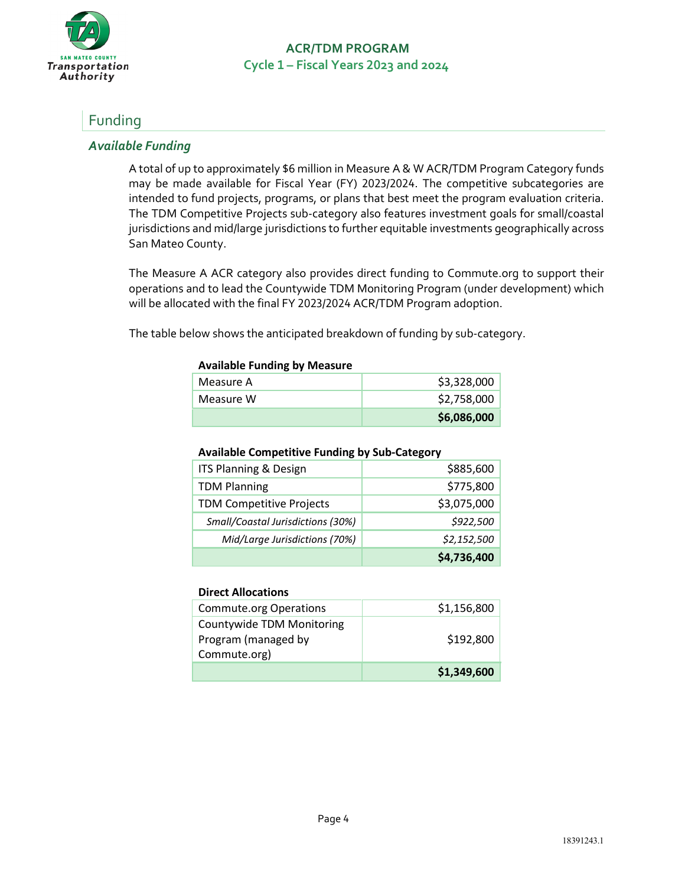

# <span id="page-3-0"></span>Funding

### *Available Funding*

A total of up to approximately \$6 million in Measure A & W ACR/TDM Program Category funds may be made available for Fiscal Year (FY) 2023/2024. The competitive subcategories are intended to fund projects, programs, or plans that best meet the program evaluation criteria. The TDM Competitive Projects sub-category also features investment goals for small/coastal jurisdictions and mid/large jurisdictions to further equitable investments geographically across San Mateo County.

The Measure A ACR category also provides direct funding to Commute.org to support their operations and to lead the Countywide TDM Monitoring Program (under development) which will be allocated with the final FY 2023/2024 ACR/TDM Program adoption.

The table below shows the anticipated breakdown of funding by sub-category.

#### **Available Funding by Measure**

|           | \$6,086,000 |
|-----------|-------------|
| Measure W | \$2,758,000 |
| Measure A | \$3,328,000 |

#### **Available Competitive Funding by Sub-Category**

| ITS Planning & Design             | \$885,600   |
|-----------------------------------|-------------|
| <b>TDM Planning</b>               | \$775,800   |
| <b>TDM Competitive Projects</b>   | \$3,075,000 |
| Small/Coastal Jurisdictions (30%) | \$922,500   |
| Mid/Large Jurisdictions (70%)     | \$2,152,500 |
|                                   | \$4,736,400 |

#### **Direct Allocations**

| <b>Commute.org Operations</b>                                           | \$1,156,800 |
|-------------------------------------------------------------------------|-------------|
| <b>Countywide TDM Monitoring</b><br>Program (managed by<br>Commute.org) | \$192,800   |
|                                                                         | \$1,349,600 |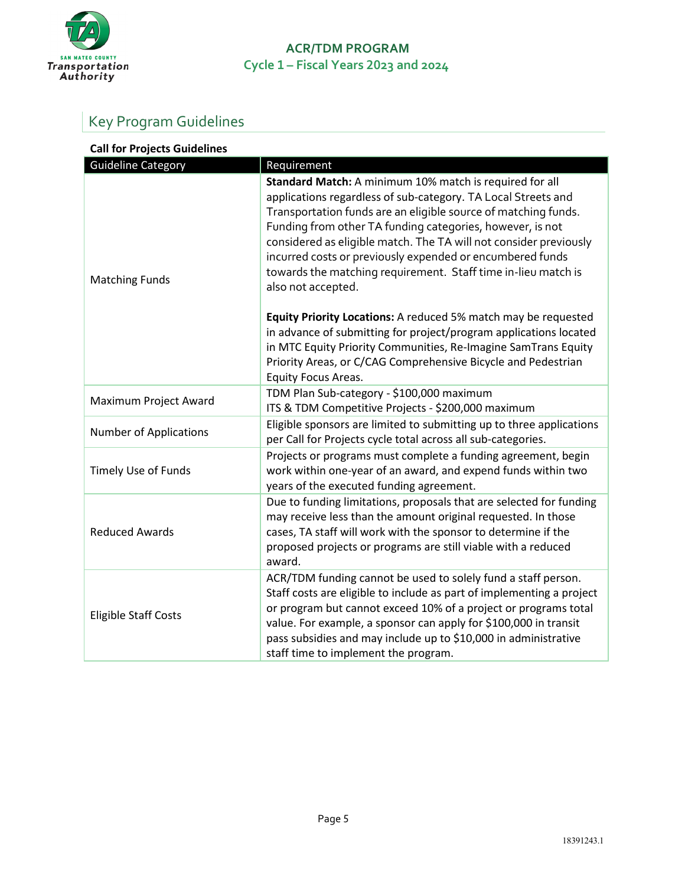

# <span id="page-4-0"></span>Key Program Guidelines

| <b>Call for Projects Guidelines</b> |                                                                                                                                                                                                                                                                                                                                                                                                                                                                                  |
|-------------------------------------|----------------------------------------------------------------------------------------------------------------------------------------------------------------------------------------------------------------------------------------------------------------------------------------------------------------------------------------------------------------------------------------------------------------------------------------------------------------------------------|
| <b>Guideline Category</b>           | Requirement                                                                                                                                                                                                                                                                                                                                                                                                                                                                      |
| <b>Matching Funds</b>               | Standard Match: A minimum 10% match is required for all<br>applications regardless of sub-category. TA Local Streets and<br>Transportation funds are an eligible source of matching funds.<br>Funding from other TA funding categories, however, is not<br>considered as eligible match. The TA will not consider previously<br>incurred costs or previously expended or encumbered funds<br>towards the matching requirement. Staff time in-lieu match is<br>also not accepted. |
|                                     | Equity Priority Locations: A reduced 5% match may be requested<br>in advance of submitting for project/program applications located<br>in MTC Equity Priority Communities, Re-Imagine SamTrans Equity<br>Priority Areas, or C/CAG Comprehensive Bicycle and Pedestrian<br>Equity Focus Areas.                                                                                                                                                                                    |
| Maximum Project Award               | TDM Plan Sub-category - \$100,000 maximum<br>ITS & TDM Competitive Projects - \$200,000 maximum                                                                                                                                                                                                                                                                                                                                                                                  |
| <b>Number of Applications</b>       | Eligible sponsors are limited to submitting up to three applications<br>per Call for Projects cycle total across all sub-categories.                                                                                                                                                                                                                                                                                                                                             |
| Timely Use of Funds                 | Projects or programs must complete a funding agreement, begin<br>work within one-year of an award, and expend funds within two<br>years of the executed funding agreement.                                                                                                                                                                                                                                                                                                       |
| <b>Reduced Awards</b>               | Due to funding limitations, proposals that are selected for funding<br>may receive less than the amount original requested. In those<br>cases, TA staff will work with the sponsor to determine if the<br>proposed projects or programs are still viable with a reduced<br>award.                                                                                                                                                                                                |
| <b>Eligible Staff Costs</b>         | ACR/TDM funding cannot be used to solely fund a staff person.<br>Staff costs are eligible to include as part of implementing a project<br>or program but cannot exceed 10% of a project or programs total<br>value. For example, a sponsor can apply for \$100,000 in transit<br>pass subsidies and may include up to \$10,000 in administrative<br>staff time to implement the program.                                                                                         |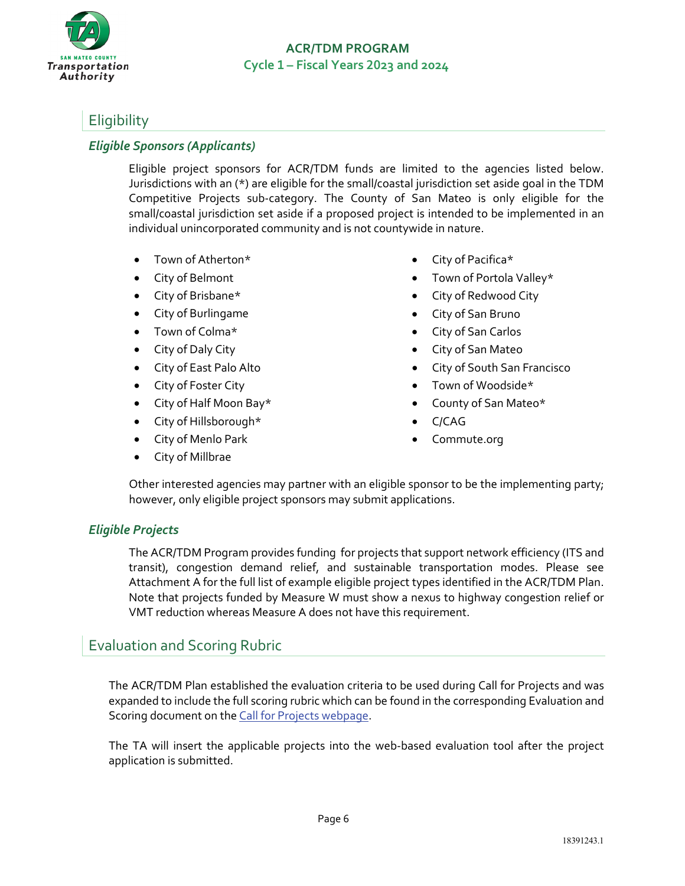

# <span id="page-5-0"></span>**Eligibility**

### *Eligible Sponsors (Applicants)*

Eligible project sponsors for ACR/TDM funds are limited to the agencies listed below. Jurisdictions with an (\*) are eligible for the small/coastal jurisdiction set aside goal in the TDM Competitive Projects sub-category. The County of San Mateo is only eligible for the small/coastal jurisdiction set aside if a proposed project is intended to be implemented in an individual unincorporated community and is not countywide in nature.

- Town of Atherton\*
- City of Belmont
- City of Brisbane\*
- City of Burlingame
- Town of Colma\*
- City of Daly City
- City of East Palo Alto
- City of Foster City
- City of Half Moon Bay\*
- City of Hillsborough\*
- City of Menlo Park
- City of Millbrae
- City of Pacifica\*
- Town of Portola Valley\*
- City of Redwood City
- City of San Bruno
- City of San Carlos
- City of San Mateo
- City of South San Francisco
- Town of Woodside\*
- County of San Mateo\*
- C/CAG
- Commute.org

Other interested agencies may partner with an eligible sponsor to be the implementing party; however, only eligible project sponsors may submit applications.

### *Eligible Projects*

The ACR/TDM Program provides funding for projects that support network efficiency (ITS and transit), congestion demand relief, and sustainable transportation modes. Please see Attachment A for the full list of example eligible project types identified in the ACR/TDM Plan. Note that projects funded by Measure W must show a nexus to highway congestion relief or VMT reduction whereas Measure A does not have this requirement.

### <span id="page-5-1"></span>Evaluation and Scoring Rubric

The ACR/TDM Plan established the evaluation criteria to be used during Call for Projects and was expanded to include the full scoring rubric which can be found in the corresponding Evaluation and Scoring document on the [Call for Projects webpage.](https://www.smcta.com/whatshappening/Call_for_Projects.html)

The TA will insert the applicable projects into the web-based evaluation tool after the project application is submitted.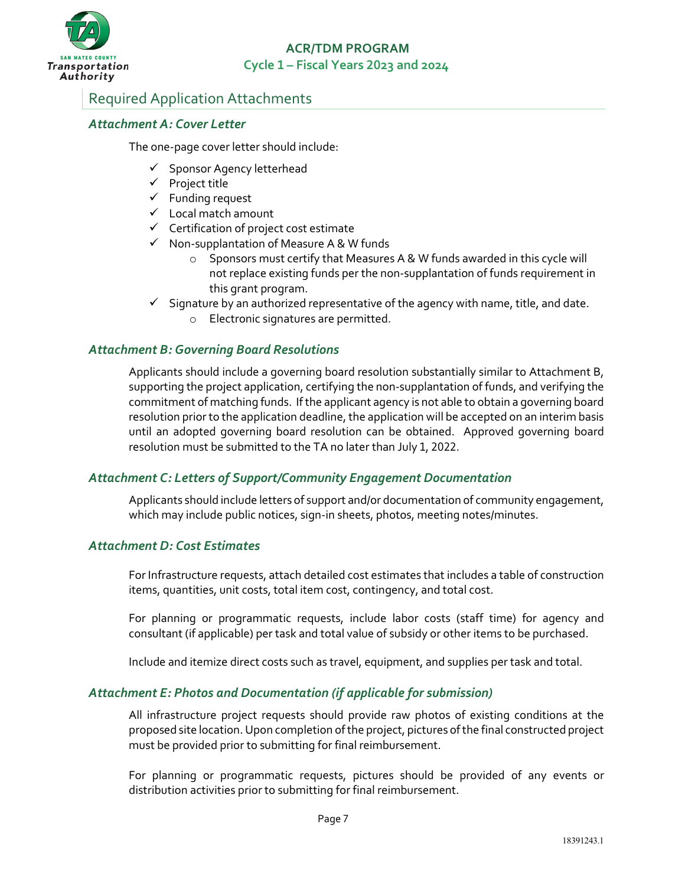

# <span id="page-6-0"></span>Required Application Attachments

### *Attachment A: Cover Letter*

The one-page cover letter should include:

- $\checkmark$  Sponsor Agency letterhead
- $\checkmark$  Project title
- $\checkmark$  Funding request
- $\checkmark$  Local match amount
- $\checkmark$  Certification of project cost estimate
- $\checkmark$  Non-supplantation of Measure A & W funds
	- o Sponsors must certify that Measures A & W funds awarded in this cycle will not replace existing funds per the non-supplantation of funds requirement in this grant program.
- $\checkmark$  Signature by an authorized representative of the agency with name, title, and date.
	- o Electronic signatures are permitted.

### *Attachment B: Governing Board Resolutions*

Applicants should include a governing board resolution substantially similar to Attachment B, supporting the project application, certifying the non-supplantation of funds, and verifying the commitment of matching funds. If the applicant agency is not able to obtain a governing board resolution prior to the application deadline, the application will be accepted on an interim basis until an adopted governing board resolution can be obtained. Approved governing board resolution must be submitted to the TA no later than July 1, 2022.

### *Attachment C: Letters of Support/Community Engagement Documentation*

Applicants should include letters of support and/or documentation of community engagement, which may include public notices, sign-in sheets, photos, meeting notes/minutes.

#### *Attachment D: Cost Estimates*

For Infrastructure requests, attach detailed cost estimates that includes a table of construction items, quantities, unit costs, total item cost, contingency, and total cost.

For planning or programmatic requests, include labor costs (staff time) for agency and consultant (if applicable) per task and total value of subsidy or other items to be purchased.

Include and itemize direct costs such as travel, equipment, and supplies per task and total.

### *Attachment E: Photos and Documentation (if applicable for submission)*

All infrastructure project requests should provide raw photos of existing conditions at the proposed site location. Upon completion of the project, pictures of the final constructed project must be provided prior to submitting for final reimbursement.

For planning or programmatic requests, pictures should be provided of any events or distribution activities prior to submitting for final reimbursement.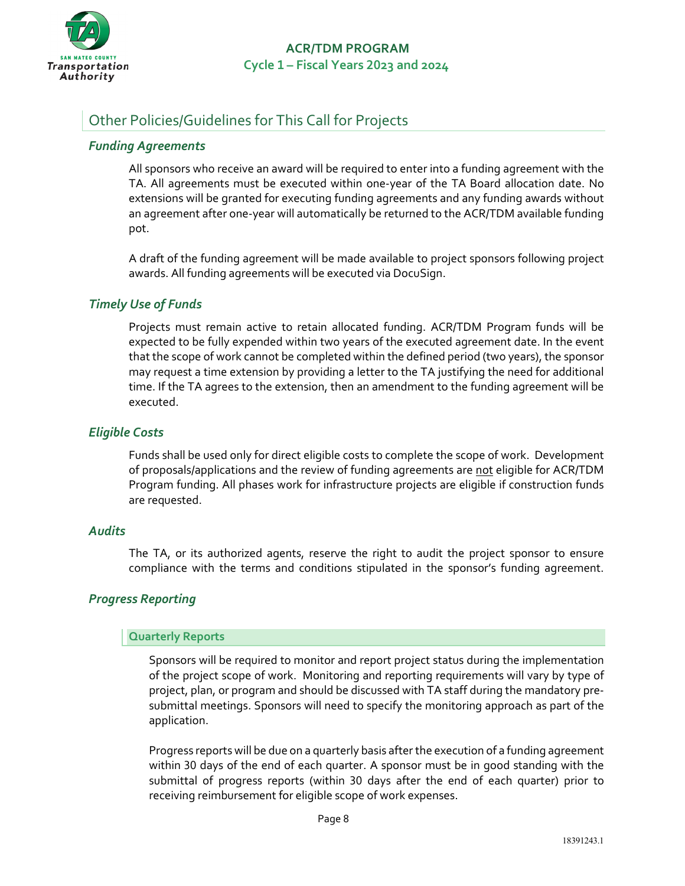

# Other Policies/Guidelines for This Call for Projects

### *Funding Agreements*

All sponsors who receive an award will be required to enter into a funding agreement with the TA. All agreements must be executed within one-year of the TA Board allocation date. No extensions will be granted for executing funding agreements and any funding awards without an agreement after one-year will automatically be returned to the ACR/TDM available funding pot.

A draft of the funding agreement will be made available to project sponsors following project awards. All funding agreements will be executed via DocuSign.

### *Timely Use of Funds*

Projects must remain active to retain allocated funding. ACR/TDM Program funds will be expected to be fully expended within two years of the executed agreement date. In the event that the scope of work cannot be completed within the defined period (two years), the sponsor may request a time extension by providing a letter to the TA justifying the need for additional time. If the TA agrees to the extension, then an amendment to the funding agreement will be executed.

### *Eligible Costs*

Funds shall be used only for direct eligible costs to complete the scope of work. Development of proposals/applications and the review of funding agreements are not eligible for ACR/TDM Program funding. All phases work for infrastructure projects are eligible if construction funds are requested.

### *Audits*

The TA, or its authorized agents, reserve the right to audit the project sponsor to ensure compliance with the terms and conditions stipulated in the sponsor's funding agreement.

### *Progress Reporting*

#### **Quarterly Reports**

Sponsors will be required to monitor and report project status during the implementation of the project scope of work. Monitoring and reporting requirements will vary by type of project, plan, or program and should be discussed with TA staff during the mandatory presubmittal meetings. Sponsors will need to specify the monitoring approach as part of the application.

Progress reports will be due on a quarterly basis after the execution of a funding agreement within 30 days of the end of each quarter. A sponsor must be in good standing with the submittal of progress reports (within 30 days after the end of each quarter) prior to receiving reimbursement for eligible scope of work expenses.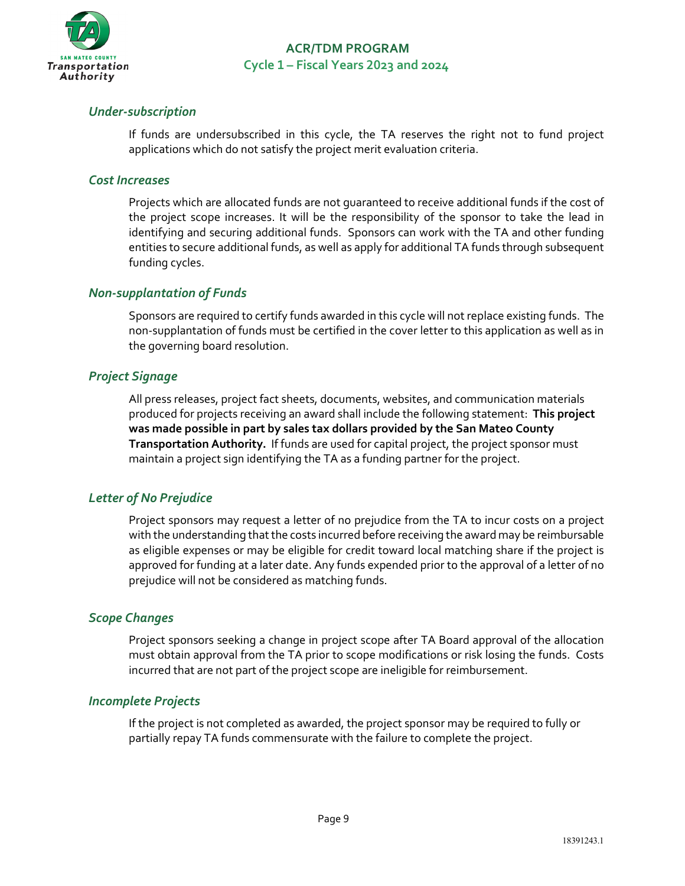

### *Under-subscription*

If funds are undersubscribed in this cycle, the TA reserves the right not to fund project applications which do not satisfy the project merit evaluation criteria.

#### *Cost Increases*

Projects which are allocated funds are not guaranteed to receive additional funds if the cost of the project scope increases. It will be the responsibility of the sponsor to take the lead in identifying and securing additional funds. Sponsors can work with the TA and other funding entities to secure additional funds, as well as apply for additional TA funds through subsequent funding cycles.

### *Non-supplantation of Funds*

Sponsors are required to certify funds awarded in this cycle will not replace existing funds. The non-supplantation of funds must be certified in the cover letter to this application as well as in the governing board resolution.

### *Project Signage*

All press releases, project fact sheets, documents, websites, and communication materials produced for projects receiving an award shall include the following statement: **This project was made possible in part by sales tax dollars provided by the San Mateo County Transportation Authority.** If funds are used for capital project, the project sponsor must maintain a project sign identifying the TA as a funding partner for the project.

### *Letter of No Prejudice*

Project sponsors may request a letter of no prejudice from the TA to incur costs on a project with the understanding that the costs incurred before receiving the award may be reimbursable as eligible expenses or may be eligible for credit toward local matching share if the project is approved for funding at a later date. Any funds expended prior to the approval of a letter of no prejudice will not be considered as matching funds.

### *Scope Changes*

Project sponsors seeking a change in project scope after TA Board approval of the allocation must obtain approval from the TA prior to scope modifications or risk losing the funds. Costs incurred that are not part of the project scope are ineligible for reimbursement.

### *Incomplete Projects*

If the project is not completed as awarded, the project sponsor may be required to fully or partially repay TA funds commensurate with the failure to complete the project.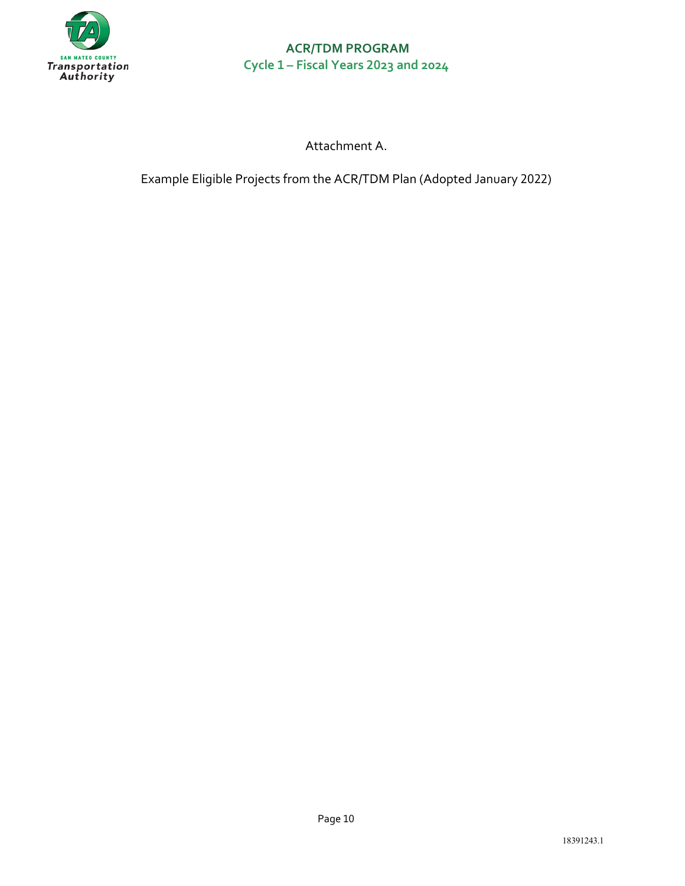

Attachment A.

Example Eligible Projects from the ACR/TDM Plan (Adopted January 2022)